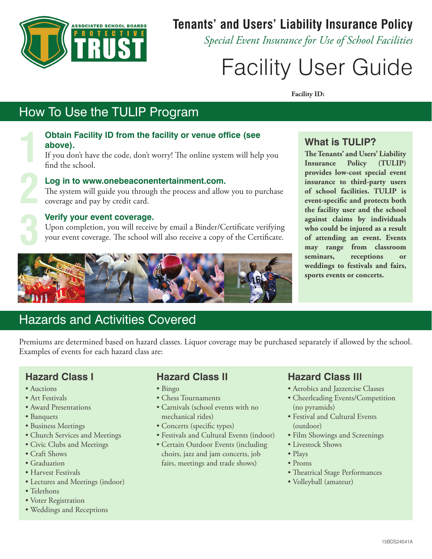

## **Tenants' and Users' Liability Insurance Policy**

*Special Event Insurance for Use of School Facilities*

# Facility User Guide

**Facility ID:**

# How To Use the TULIP Program

#### **Obtain Facility ID from the facility or venue office (see above). 1**

If you don't have the code, don't worry! The online system will help you find the school.

# **2 3**

#### **Log in to [www.onebeaconentertainment.com.](www.onebeaconentertainment.com)**

The system will guide you through the process and allow you to purchase coverage and pay by credit card.

#### **Verify your event coverage.**

Upon completion, you will receive by email a Binder/Certificate verifying your event coverage. The school will also receive a copy of the Certificate.



#### **What is TULIP?**

**The Tenants' and Users' Liability Insurance Policy (TULIP) provides low-cost special event insurance to third-party users of school facilities. TULIP is event-specific and protects both the facility user and the school against claims by individuals who could be injured as a result of attending an event. Events may range from classroom seminars, receptions or weddings to festivals and fairs, sports events or concerts.**

## Hazards and Activities Covered

Premiums are determined based on hazard classes. Liquor coverage may be purchased separately if allowed by the school. Examples of events for each hazard class are:

#### **Hazard Class I**

- Auctions
- Art Festivals
- Award Presentations
- Banquets
- Business Meetings
- Church Services and Meetings
- Civic Clubs and Meetings
- Craft Shows
- Graduation
- Harvest Festivals
- Lectures and Meetings (indoor)
- Telethons
- Voter Registration
- Weddings and Receptions

#### **Hazard Class II**

- Bingo
- Chess Tournaments
- Carnivals (school events with no mechanical rides)
- Concerts (specific types)
- Festivals and Cultural Events (indoor)
- Certain Outdoor Events (including choirs, jazz and jam concerts, job fairs, meetings and trade shows)

#### **Hazard Class III**

- Aerobics and Jazzercise Classes
- Cheerleading Events/Competition (no pyramids)
- Festival and Cultural Events (outdoor)
- Film Showings and Screenings
- Livestock Shows
- Plays
- Proms
- Theatrical Stage Performances
- Volleyball (amateur)